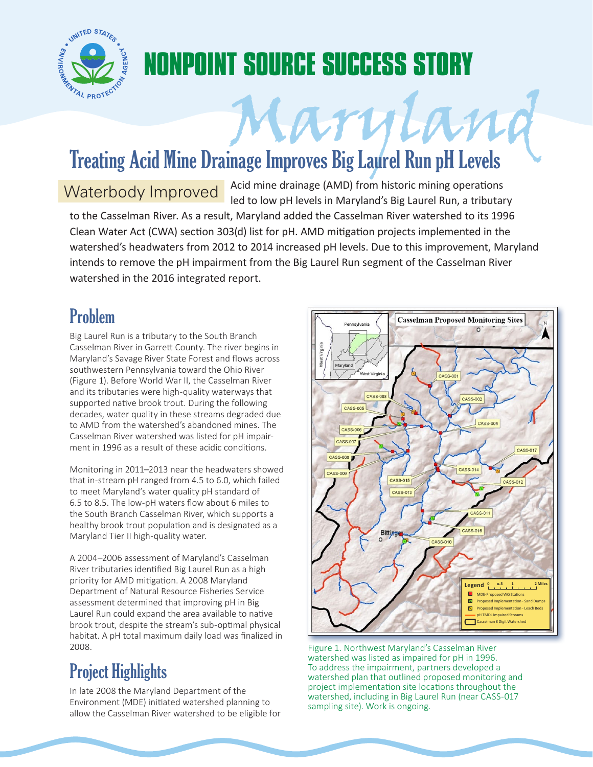

## **NONPOINT SOURCE SUCCESS STORY**

# Mary Land Run of Treating Acid Mine Drainage Improves Big Laurel Run pH Levels

Waterbody Improved Acid mine drainage (AMD) from historic mining operations led to low pH levels in Maryland's Big Laurel Run, a tributary

to the Casselman River. As a result, Maryland added the Casselman River watershed to its 1996 Clean Water Act (CWA) section 303(d) list for pH. AMD mitigation projects implemented in the watershed's headwaters from 2012 to 2014 increased pH levels. Due to this improvement, Maryland intends to remove the pH impairment from the Big Laurel Run segment of the Casselman River watershed in the 2016 integrated report.

#### Problem

Big Laurel Run is a tributary to the South Branch Casselman River in Garrett County. The river begins in Maryland's Savage River State Forest and flows across southwestern Pennsylvania toward the Ohio River (Figure 1). Before World War II, the Casselman River and its tributaries were high-quality waterways that supported native brook trout. During the following decades, water quality in these streams degraded due to AMD from the watershed's abandoned mines. The Casselman River watershed was listed for pH impairment in 1996 as a result of these acidic conditions.

Monitoring in 2011–2013 near the headwaters showed that in-stream pH ranged from 4.5 to 6.0, which failed to meet Maryland's water quality pH standard of 6.5 to 8.5. The low-pH waters flow about 6 miles to the South Branch Casselman River, which supports a healthy brook trout population and is designated as a Maryland Tier II high-quality water.

A 2004–2006 assessment of Maryland's Casselman River tributaries identified Big Laurel Run as a high priority for AMD mitigation. A 2008 Maryland Department of Natural Resource Fisheries Service assessment determined that improving pH in Big Laurel Run could expand the area available to native brook trout, despite the stream's sub-optimal physical habitat. A pH total maximum daily load was finalized in 2008.

### Project Highlights

In late 2008 the Maryland Department of the Environment (MDE) initiated watershed planning to allow the Casselman River watershed to be eligible for



Figure 1. Northwest Maryland's Casselman River watershed was listed as impaired for pH in 1996. To address the impairment, partners developed a watershed plan that outlined proposed monitoring and project implementation site locations throughout the watershed, including in Big Laurel Run (near CASS-017 sampling site). Work is ongoing.